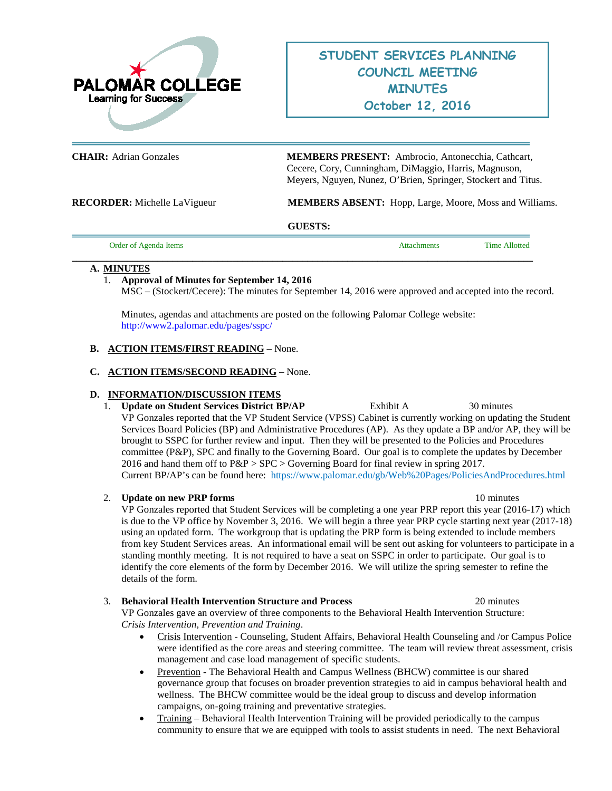

**CHAIR:** Adrian Gonzales **MEMBERS PRESENT:** Ambrocio, Antonecchia, Cathcart, Cecere, Cory, Cunningham, DiMaggio, Harris, Magnuson, Meyers, Nguyen, Nunez, O'Brien, Springer, Stockert and Titus.

**RECORDER:** Michelle LaVigueur **MEMBERS ABSENT:** Hopp, Large, Moore, Moss and Williams.

#### **GUESTS:**

| Order of Agenda Items | <b>Attachments</b> | <b>Time Allotted</b> |
|-----------------------|--------------------|----------------------|
|                       |                    |                      |

#### **\_\_\_\_\_\_\_\_\_\_\_\_\_\_\_\_\_\_\_\_\_\_\_\_\_\_\_\_\_\_\_\_\_\_\_\_\_\_\_\_\_\_\_\_\_\_\_\_\_\_\_\_\_\_\_\_\_\_\_\_\_\_\_\_\_\_\_\_\_\_\_\_\_\_\_\_\_\_\_\_\_\_\_\_\_\_\_\_\_\_\_\_ A. MINUTES**

1. **Approval of Minutes for September 14, 2016** MSC – (Stockert/Cecere): The minutes for September 14, 2016 were approved and accepted into the record.

Minutes, agendas and attachments are posted on the following Palomar College website: <http://www2.palomar.edu/pages/sspc/>

# **B. ACTION ITEMS/FIRST READING** – None.

# **C. ACTION ITEMS/SECOND READING** – None.

# **D. INFORMATION/DISCUSSION ITEMS**

1. **Update on Student Services District BP/AP** Exhibit A 30 minutes VP Gonzales reported that the VP Student Service (VPSS) Cabinet is currently working on updating the Student Services Board Policies (BP) and Administrative Procedures (AP). As they update a BP and/or AP, they will be brought to SSPC for further review and input. Then they will be presented to the Policies and Procedures committee (P&P), SPC and finally to the Governing Board. Our goal is to complete the updates by December 2016 and hand them off to  $P\&P > \text{SPC} >$  Governing Board for final review in spring 2017. Current BP/AP's can be found here: <https://www.palomar.edu/gb/Web%20Pages/PoliciesAndProcedures.html>

# 2. **Update on new PRP forms** 10 minutes

VP Gonzales reported that Student Services will be completing a one year PRP report this year (2016-17) which is due to the VP office by November 3, 2016. We will begin a three year PRP cycle starting next year (2017-18) using an updated form. The workgroup that is updating the PRP form is being extended to include members from key Student Services areas. An informational email will be sent out asking for volunteers to participate in a standing monthly meeting. It is not required to have a seat on SSPC in order to participate. Our goal is to identify the core elements of the form by December 2016. We will utilize the spring semester to refine the details of the form.

# 3. **Behavioral Health Intervention Structure and Process** 20 minutes

VP Gonzales gave an overview of three components to the Behavioral Health Intervention Structure: *Crisis Intervention, Prevention and Training*.

- Crisis Intervention Counseling, Student Affairs, Behavioral Health Counseling and /or Campus Police were identified as the core areas and steering committee. The team will review threat assessment, crisis management and case load management of specific students.
- Prevention The Behavioral Health and Campus Wellness (BHCW) committee is our shared governance group that focuses on broader prevention strategies to aid in campus behavioral health and wellness. The BHCW committee would be the ideal group to discuss and develop information campaigns, on-going training and preventative strategies.
- Training Behavioral Health Intervention Training will be provided periodically to the campus community to ensure that we are equipped with tools to assist students in need. The next Behavioral